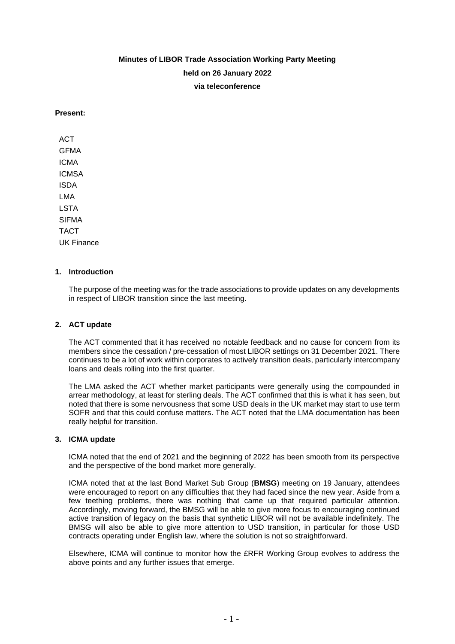# **Minutes of LIBOR Trade Association Working Party Meeting held on 26 January 2022 via teleconference**

## **Present:**

**ACT** GFMA ICMA ICMSA ISDA LMA LSTA SIFMA TACT UK Finance

# **1. Introduction**

The purpose of the meeting was for the trade associations to provide updates on any developments in respect of LIBOR transition since the last meeting.

#### **2. ACT update**

The ACT commented that it has received no notable feedback and no cause for concern from its members since the cessation / pre-cessation of most LIBOR settings on 31 December 2021. There continues to be a lot of work within corporates to actively transition deals, particularly intercompany loans and deals rolling into the first quarter.

The LMA asked the ACT whether market participants were generally using the compounded in arrear methodology, at least for sterling deals. The ACT confirmed that this is what it has seen, but noted that there is some nervousness that some USD deals in the UK market may start to use term SOFR and that this could confuse matters. The ACT noted that the LMA documentation has been really helpful for transition.

#### **3. ICMA update**

ICMA noted that the end of 2021 and the beginning of 2022 has been smooth from its perspective and the perspective of the bond market more generally.

ICMA noted that at the last Bond Market Sub Group (**BMSG**) meeting on 19 January, attendees were encouraged to report on any difficulties that they had faced since the new year. Aside from a few teething problems, there was nothing that came up that required particular attention. Accordingly, moving forward, the BMSG will be able to give more focus to encouraging continued active transition of legacy on the basis that synthetic LIBOR will not be available indefinitely. The BMSG will also be able to give more attention to USD transition, in particular for those USD contracts operating under English law, where the solution is not so straightforward.

Elsewhere, ICMA will continue to monitor how the £RFR Working Group evolves to address the above points and any further issues that emerge.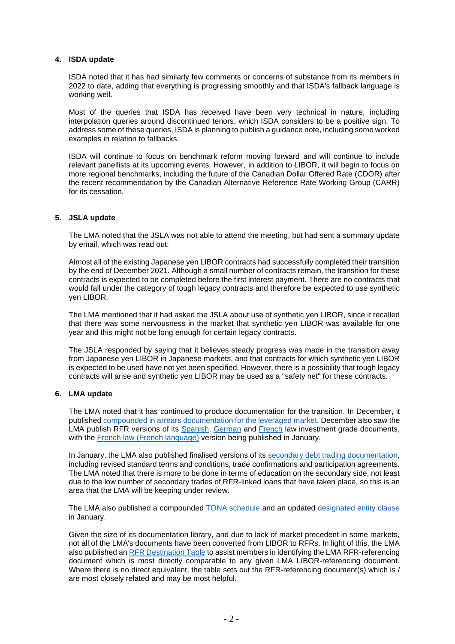## **4. ISDA update**

ISDA noted that it has had similarly few comments or concerns of substance from its members in 2022 to date, adding that everything is progressing smoothly and that ISDA's fallback language is working well.

Most of the queries that ISDA has received have been very technical in nature, including interpolation queries around discontinued tenors, which ISDA considers to be a positive sign. To address some of these queries, ISDA is planning to publish a guidance note, including some worked examples in relation to fallbacks.

ISDA will continue to focus on benchmark reform moving forward and will continue to include relevant panellists at its upcoming events. However, in addition to LIBOR, it will begin to focus on more regional benchmarks, including the future of the Canadian Dollar Offered Rate (CDOR) after the [recent recommendation by the Canadian Alternative Reference Rate Working Group \(CARR\)](https://www.bankofcanada.ca/2021/12/carr-publishes-white-paper-recommended-future-cdor/)  for its cessation.

## **5. JSLA update**

The LMA noted that the JSLA was not able to attend the meeting, but had sent a summary update by email, which was read out:

Almost all of the existing Japanese yen LIBOR contracts had successfully completed their transition by the end of December 2021. Although a small number of contracts remain, the transition for these contracts is expected to be completed before the first interest payment. There are no contracts that would fall under the category of tough legacy contracts and therefore be expected to use synthetic yen LIBOR.

The LMA mentioned that it had asked the JSLA about use of synthetic yen LIBOR, since it recalled that there was some nervousness in the market that synthetic yen LIBOR was available for one year and this might not be long enough for certain legacy contracts.

The JSLA responded by saying that it believes steady progress was made in the transition away from Japanese yen LIBOR in Japanese markets, and that contracts for which synthetic yen LIBOR is expected to be used have not yet been specified. However, there is a possibility that tough legacy contracts will arise and synthetic yen LIBOR may be used as a "safety net" for these contracts.

## **6. LMA update**

The LMA noted that it has continued to produce documentation for the transition. In December, it published compounded in arrears [documentation for the leveraged market.](https://www.lma.eu.com/documents-guidelines/documents/category/leveragedhigh-yield#rfr-documentation193) December also saw the LMA publish RFR versions of its [Spanish,](https://www.lma.eu.com/documents-guidelines/documents/category/spanish-law-investment-grade#document_index) [German](https://www.lma.eu.com/documents-guidelines/documents/category/german-law-investment-grade#document_index) and [French](https://www.lma.eu.com/documents-guidelines/documents/category/french-law-investment-grade#document_index) law investment grade documents, with the [French law \(French language\)](https://www.lma.eu.com/documents-guidelines/documents/category/french-law-investment-grade#rfr-facility-documentation176) version being published in January.

In January, the LMA also published finalised versions of its [secondary debt trading documentation,](https://www.lma.eu.com/documents-guidelines/documents/category/secondary-debt-trading#document_index) including revised standard terms and conditions, trade confirmations and participation agreements. The LMA noted that there is more to be done in terms of education on the secondary side, not least due to the low number of secondary trades of RFR-linked loans that have taken place, so this is an area that the LMA will be keeping under review.

The LMA also published a compounded [TONA schedule](https://www.lma.eu.com/documents-guidelines/documents/category/libor-transition#compounded-rfr-facility-documentation--commentary143) and an updated [designated entity clause](https://www.lma.eu.com/documents-guidelines/documents/category/brexit#relevant-documents146) in January.

Given the size of its documentation library, and due to lack of market precedent in some markets, not all of the LMA's documents have been converted from LIBOR to RFRs. In light of this, the LMA also published an [RFR Destination Table](https://www.lma.eu.com/documents-guidelines/documents/category/rfr-destination-table#document_index) to assist members in identifying the LMA RFR-referencing document which is most directly comparable to any given LMA LIBOR-referencing document. Where there is no direct equivalent, the table sets out the RFR-referencing document(s) which is / are most closely related and may be most helpful.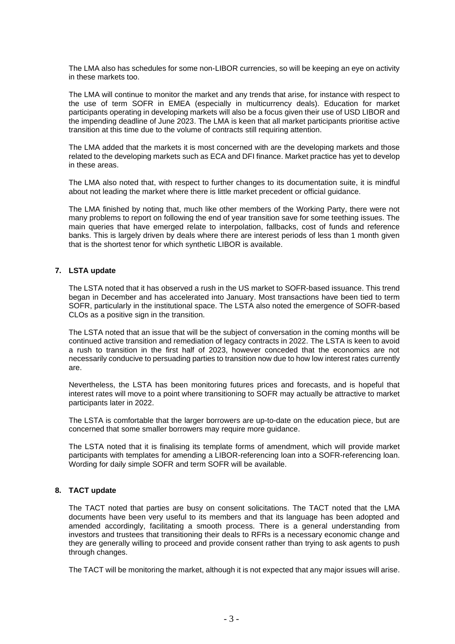The LMA also has schedules for some non-LIBOR currencies, so will be keeping an eye on activity in these markets too.

The LMA will continue to monitor the market and any trends that arise, for instance with respect to the use of term SOFR in EMEA (especially in multicurrency deals). Education for market participants operating in developing markets will also be a focus given their use of USD LIBOR and the impending deadline of June 2023. The LMA is keen that all market participants prioritise active transition at this time due to the volume of contracts still requiring attention.

The LMA added that the markets it is most concerned with are the developing markets and those related to the developing markets such as ECA and DFI finance. Market practice has yet to develop in these areas.

The LMA also noted that, with respect to further changes to its documentation suite, it is mindful about not leading the market where there is little market precedent or official guidance.

The LMA finished by noting that, much like other members of the Working Party, there were not many problems to report on following the end of year transition save for some teething issues. The main queries that have emerged relate to interpolation, fallbacks, cost of funds and reference banks. This is largely driven by deals where there are interest periods of less than 1 month given that is the shortest tenor for which synthetic LIBOR is available.

## **7. LSTA update**

The LSTA noted that it has observed a rush in the US market to SOFR-based issuance. This trend began in December and has accelerated into January. Most transactions have been tied to term SOFR, particularly in the institutional space. The LSTA also noted the emergence of SOFR-based CLOs as a positive sign in the transition.

The LSTA noted that an issue that will be the subject of conversation in the coming months will be continued active transition and remediation of legacy contracts in 2022. The LSTA is keen to avoid a rush to transition in the first half of 2023, however conceded that the economics are not necessarily conducive to persuading parties to transition now due to how low interest rates currently are.

Nevertheless, the LSTA has been monitoring futures prices and forecasts, and is hopeful that interest rates will move to a point where transitioning to SOFR may actually be attractive to market participants later in 2022.

The LSTA is comfortable that the larger borrowers are up-to-date on the education piece, but are concerned that some smaller borrowers may require more guidance.

The LSTA noted that it is finalising its template forms of amendment, which will provide market participants with templates for amending a LIBOR-referencing loan into a SOFR-referencing loan. Wording for daily simple SOFR and term SOFR will be available.

# **8. TACT update**

The TACT noted that parties are busy on consent solicitations. The TACT noted that the LMA documents have been very useful to its members and that its language has been adopted and amended accordingly, facilitating a smooth process. There is a general understanding from investors and trustees that transitioning their deals to RFRs is a necessary economic change and they are generally willing to proceed and provide consent rather than trying to ask agents to push through changes.

The TACT will be monitoring the market, although it is not expected that any major issues will arise.